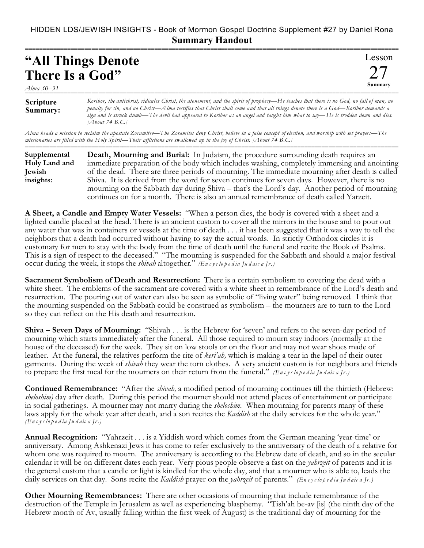## HIDDEN LDS/JEWISH INSIGHTS - Book of Mormon Gospel Doctrine Supplement #27 by Daniel Rona **Summary Handout**

| "All Things Denote" | l ess |
|---------------------|-------|
| There Is a God"     |       |
| Alma 30–31          |       |

| <b>Scripture</b> | Koribor, the antichrist, ridicules Christ, the atonement, and the spirit of prophecy—He teaches that there is no God, no fall of man, no |
|------------------|------------------------------------------------------------------------------------------------------------------------------------------|
| Summary:         | penalty for sin, and no Christ—Alma testifies that Christ shall come and that all things denote there is a God—Korihor demands a         |
|                  | sign and is struck dumb—The devil had appeared to Korihor as an angel and taught him what to say—He is trodden down and dies.            |
|                  | [About 74 B.C.]                                                                                                                          |

*Alma heads a mission to reclaim the apostate Zoramites—The Zoramites deny Christ, believe in a false concept of election, and worship with set prayers—The missionaries are filled with the Holy Spirit—Their afflictions are swallowed up in the joy of Christ. [About 74 B.C.]*

| Supplemental  | Death, Mourning and Burial: In Judaism, the procedure surrounding death requires an            |
|---------------|------------------------------------------------------------------------------------------------|
| Holy Land and | immediate preparation of the body which includes washing, completely immersing and anointing   |
| Jewish        | of the dead. There are three periods of mourning. The immediate mourning after death is called |
| insights:     | Shiva. It is derived from the word for seven continues for seven days. However, there is no    |
|               | mourning on the Sabbath day during Shiva – that's the Lord's day. Another period of mourning   |
|               | continues on for a month. There is also an annual remembrance of death called Yarzeit.         |

**A Sheet, a Candle and Empty Water Vessels:** "When a person dies, the body is covered with a sheet and a lighted candle placed at the head. There is an ancient custom to cover all the mirrors in the house and to pour out any water that was in containers or vessels at the time of death . . . it has been suggested that it was a way to tell the neighbors that a death had occurred without having to say the actual words. In strictly Orthodox circles it is customary for men to stay with the body from the time of death until the funeral and recite the Book of Psalms. This is a sign of respect to the deceased." "The mourning is suspended for the Sabbath and should a major festival occur during the week, it stops the *shivah* altogether." *(En c y c lo p e d ia Ju d aic a Jr.)*

**Sacrament Symbolism of Death and Resurrection:** There is a certain symbolism to covering the dead with a white sheet. The emblems of the sacrament are covered with a white sheet in remembrance of the Lord's death and resurrection. The pouring out of water can also be seen as symbolic of "living water" being removed. I think that the mourning suspended on the Sabbath could be construed as symbolism – the mourners are to turn to the Lord so they can reflect on the His death and resurrection.

**Shiva – Seven Days of Mourning:** "Shivah . . . is the Hebrew for 'seven' and refers to the seven-day period of mourning which starts immediately after the funeral. All those required to mourn stay indoors (normally at the house of the deceased) for the week. They sit on low stools or on the floor and may not wear shoes made of leather. At the funeral, the relatives perform the rite of *keri'ah,* which is making a tear in the lapel of their outer garments. During the week of *shivah* they wear the torn clothes. A very ancient custom is for neighbors and friends to prepare the first meal for the mourners on their return from the funeral." *(Encyclopedia Judaica Ir.)* 

**Continued Remembrance:** "After the *shivah,* a modified period of mourning continues till the thirtieth (Hebrew: *sheloshim)* day after death. During this period the mourner should not attend places of entertainment or participate in social gatherings. A mourner may not marry during the *sheloshim.* When mourning for parents many of these laws apply for the whole year after death, and a son recites the *Kaddish* at the daily services for the whole year." *(En c y c lo p e d ia Ju d aic a Jr.)*

**Annual Recognition:** "Yahrzeit . . . is a Yiddish word which comes from the German meaning 'year-time' or anniversary. Among Ashkenazi Jews it has come to refer exclusively to the anniversary of the death of a relative for whom one was required to mourn. The anniversary is according to the Hebrew date of death, and so in the secular calendar it will be on different dates each year. Very pious people observe a fast on the *yahrzeit* of parents and it is the general custom that a candle or light is kindled for the whole day, and that a mourner who is able to, leads the daily services on that day. Sons recite the *Kaddish* prayer on the *yahrzeit* of parents." *(En c y c lo p e d ia Ju d aic a Jr.)*

**Other Mourning Remembrances:** There are other occasions of mourning that include remembrance of the destruction of the Temple in Jerusalem as well as experiencing blasphemy. "Tish'ah be-av [is] (the ninth day of the Hebrew month of Av, usually falling within the first week of August) is the traditional day of mourning for the